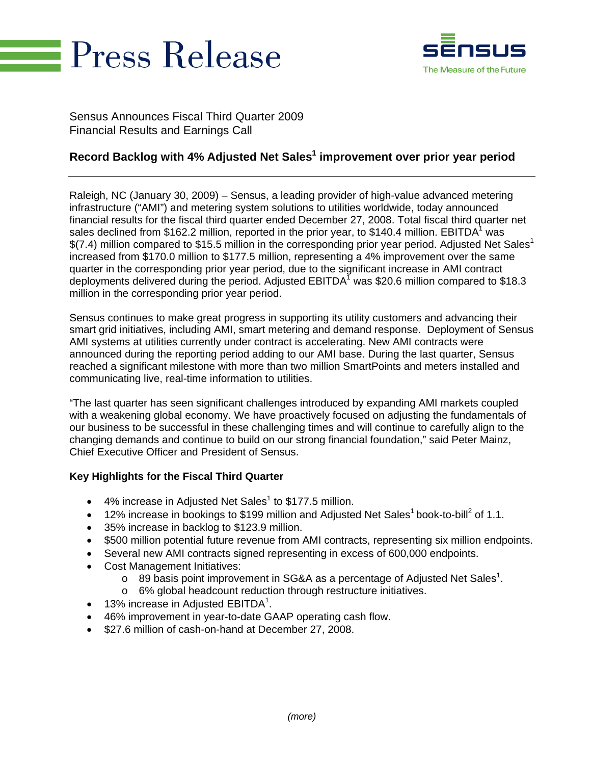



Sensus Announces Fiscal Third Quarter 2009 Financial Results and Earnings Call

# **Record Backlog with 4% Adjusted Net Sales1 improvement over prior year period**

Raleigh, NC (January 30, 2009) – Sensus, a leading provider of high-value advanced metering infrastructure ("AMI") and metering system solutions to utilities worldwide, today announced financial results for the fiscal third quarter ended December 27, 2008. Total fiscal third quarter net sales declined from \$162.2 million, reported in the prior year, to \$140.4 million. EBITDA<sup>1</sup> was  $$(7.4)$  million compared to \$15.5 million in the corresponding prior year period. Adjusted Net Sales<sup>1</sup> increased from \$170.0 million to \$177.5 million, representing a 4% improvement over the same quarter in the corresponding prior year period, due to the significant increase in AMI contract deployments delivered during the period. Adjusted EBITDA<sup>1</sup> was \$20.6 million compared to \$18.3 million in the corresponding prior year period.

Sensus continues to make great progress in supporting its utility customers and advancing their smart grid initiatives, including AMI, smart metering and demand response. Deployment of Sensus AMI systems at utilities currently under contract is accelerating. New AMI contracts were announced during the reporting period adding to our AMI base. During the last quarter, Sensus reached a significant milestone with more than two million SmartPoints and meters installed and communicating live, real-time information to utilities.

"The last quarter has seen significant challenges introduced by expanding AMI markets coupled with a weakening global economy. We have proactively focused on adjusting the fundamentals of our business to be successful in these challenging times and will continue to carefully align to the changing demands and continue to build on our strong financial foundation," said Peter Mainz, Chief Executive Officer and President of Sensus.

#### **Key Highlights for the Fiscal Third Quarter**

- $\bullet$  4% increase in Adjusted Net Sales<sup>1</sup> to \$177.5 million.
- 12% increase in bookings to \$199 million and Adjusted Net Sales<sup>1</sup> book-to-bill<sup>2</sup> of 1.1.
- 35% increase in backlog to \$123.9 million.
- \$500 million potential future revenue from AMI contracts, representing six million endpoints.
- Several new AMI contracts signed representing in excess of 600,000 endpoints.
- Cost Management Initiatives:
	- $\circ$  89 basis point improvement in SG&A as a percentage of Adjusted Net Sales<sup>1</sup>.
	- o 6% global headcount reduction through restructure initiatives.
- $\bullet$  13% increase in Adjusted EBITDA<sup>1</sup>.
- 46% improvement in year-to-date GAAP operating cash flow.
- \$27.6 million of cash-on-hand at December 27, 2008.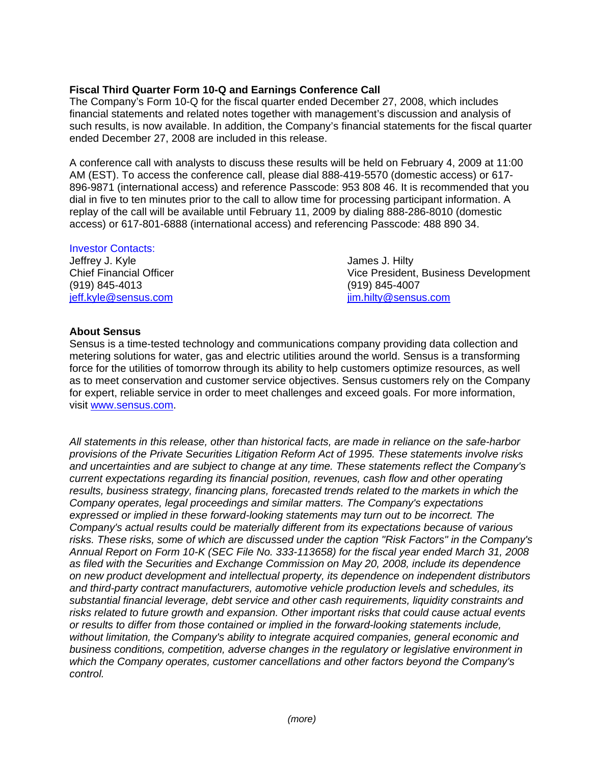### **Fiscal Third Quarter Form 10-Q and Earnings Conference Call**

The Company's Form 10-Q for the fiscal quarter ended December 27, 2008, which includes financial statements and related notes together with management's discussion and analysis of such results, is now available. In addition, the Company's financial statements for the fiscal quarter ended December 27, 2008 are included in this release.

A conference call with analysts to discuss these results will be held on February 4, 2009 at 11:00 AM (EST). To access the conference call, please dial 888-419-5570 (domestic access) or 617- 896-9871 (international access) and reference Passcode: 953 808 46. It is recommended that you dial in five to ten minutes prior to the call to allow time for processing participant information. A replay of the call will be available until February 11, 2009 by dialing 888-286-8010 (domestic access) or 617-801-6888 (international access) and referencing Passcode: 488 890 34.

#### Investor Contacts:

Jeffrey J. Kyle James J. Hilty (919) 845-4013 (919) 845-4007 jeff.kyle@sensus.com jim.hilty@sensus.com

Chief Financial Officer **Vice President, Business Development** 

#### **About Sensus**

Sensus is a time-tested technology and communications company providing data collection and metering solutions for water, gas and electric utilities around the world. Sensus is a transforming force for the utilities of tomorrow through its ability to help customers optimize resources, as well as to meet conservation and customer service objectives. Sensus customers rely on the Company for expert, reliable service in order to meet challenges and exceed goals. For more information, visit www.sensus.com.

*All statements in this release, other than historical facts, are made in reliance on the safe-harbor provisions of the Private Securities Litigation Reform Act of 1995. These statements involve risks and uncertainties and are subject to change at any time. These statements reflect the Company's current expectations regarding its financial position, revenues, cash flow and other operating results, business strategy, financing plans, forecasted trends related to the markets in which the Company operates, legal proceedings and similar matters. The Company's expectations expressed or implied in these forward-looking statements may turn out to be incorrect. The Company's actual results could be materially different from its expectations because of various risks. These risks, some of which are discussed under the caption "Risk Factors" in the Company's Annual Report on Form 10-K (SEC File No. 333-113658) for the fiscal year ended March 31, 2008 as filed with the Securities and Exchange Commission on May 20, 2008, include its dependence on new product development and intellectual property, its dependence on independent distributors and third-party contract manufacturers, automotive vehicle production levels and schedules, its substantial financial leverage, debt service and other cash requirements, liquidity constraints and risks related to future growth and expansion. Other important risks that could cause actual events or results to differ from those contained or implied in the forward-looking statements include, without limitation, the Company's ability to integrate acquired companies, general economic and business conditions, competition, adverse changes in the regulatory or legislative environment in which the Company operates, customer cancellations and other factors beyond the Company's control.*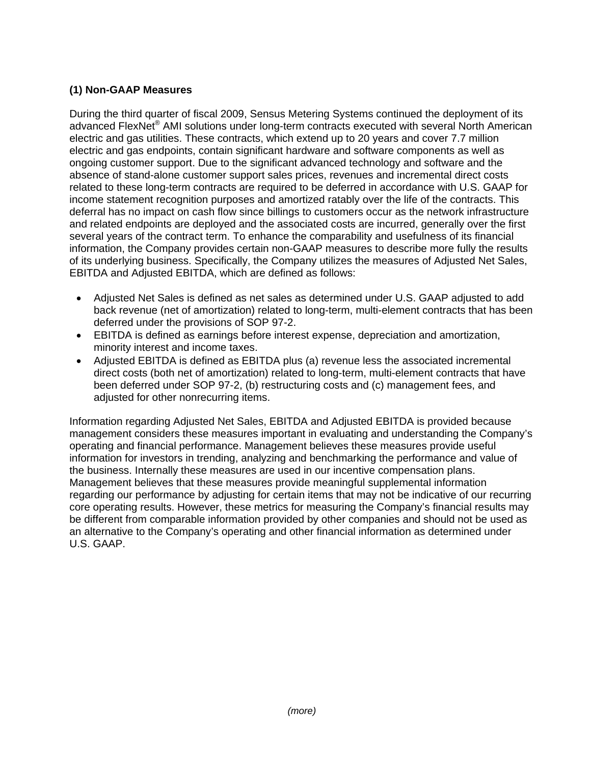### **(1) Non-GAAP Measures**

During the third quarter of fiscal 2009, Sensus Metering Systems continued the deployment of its advanced FlexNet<sup>®</sup> AMI solutions under long-term contracts executed with several North American electric and gas utilities. These contracts, which extend up to 20 years and cover 7.7 million electric and gas endpoints, contain significant hardware and software components as well as ongoing customer support. Due to the significant advanced technology and software and the absence of stand-alone customer support sales prices, revenues and incremental direct costs related to these long-term contracts are required to be deferred in accordance with U.S. GAAP for income statement recognition purposes and amortized ratably over the life of the contracts. This deferral has no impact on cash flow since billings to customers occur as the network infrastructure and related endpoints are deployed and the associated costs are incurred, generally over the first several years of the contract term. To enhance the comparability and usefulness of its financial information, the Company provides certain non-GAAP measures to describe more fully the results of its underlying business. Specifically, the Company utilizes the measures of Adjusted Net Sales, EBITDA and Adjusted EBITDA, which are defined as follows:

- Adjusted Net Sales is defined as net sales as determined under U.S. GAAP adjusted to add back revenue (net of amortization) related to long-term, multi-element contracts that has been deferred under the provisions of SOP 97-2.
- EBITDA is defined as earnings before interest expense, depreciation and amortization, minority interest and income taxes.
- Adjusted EBITDA is defined as EBITDA plus (a) revenue less the associated incremental direct costs (both net of amortization) related to long-term, multi-element contracts that have been deferred under SOP 97-2, (b) restructuring costs and (c) management fees, and adjusted for other nonrecurring items.

Information regarding Adjusted Net Sales, EBITDA and Adjusted EBITDA is provided because management considers these measures important in evaluating and understanding the Company's operating and financial performance. Management believes these measures provide useful information for investors in trending, analyzing and benchmarking the performance and value of the business. Internally these measures are used in our incentive compensation plans. Management believes that these measures provide meaningful supplemental information regarding our performance by adjusting for certain items that may not be indicative of our recurring core operating results. However, these metrics for measuring the Company's financial results may be different from comparable information provided by other companies and should not be used as an alternative to the Company's operating and other financial information as determined under U.S. GAAP.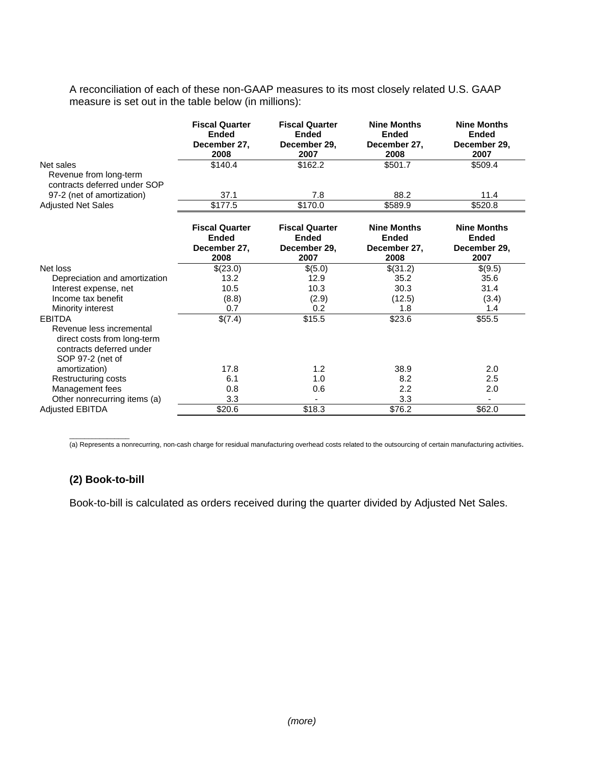A reconciliation of each of these non-GAAP measures to its most closely related U.S. GAAP measure is set out in the table below (in millions):

|                                                                                                                          | <b>Fiscal Quarter</b><br><b>Ended</b><br>December 27,<br>2008 | <b>Fiscal Quarter</b><br><b>Ended</b><br>December 29,<br>2007 | <b>Nine Months</b><br><b>Ended</b><br>December 27,<br>2008 | <b>Nine Months</b><br><b>Ended</b><br>December 29,<br>2007 |
|--------------------------------------------------------------------------------------------------------------------------|---------------------------------------------------------------|---------------------------------------------------------------|------------------------------------------------------------|------------------------------------------------------------|
| Net sales<br>Revenue from long-term<br>contracts deferred under SOP                                                      | \$140.4                                                       | \$162.2                                                       | \$501.7                                                    | \$509.4                                                    |
| 97-2 (net of amortization)                                                                                               | 37.1                                                          | 7.8                                                           | 88.2                                                       | 11.4                                                       |
| <b>Adjusted Net Sales</b>                                                                                                | \$177.5                                                       | \$170.0                                                       | \$589.9                                                    | \$520.8                                                    |
|                                                                                                                          | <b>Fiscal Quarter</b><br><b>Ended</b><br>December 27,<br>2008 | <b>Fiscal Quarter</b><br><b>Ended</b><br>December 29,<br>2007 | <b>Nine Months</b><br><b>Ended</b><br>December 27,<br>2008 | <b>Nine Months</b><br><b>Ended</b><br>December 29,<br>2007 |
| Net loss                                                                                                                 | \$(23.0)                                                      | \$(5.0)                                                       | \$(31.2)                                                   | \$(9.5)                                                    |
| Depreciation and amortization                                                                                            | 13.2                                                          | 12.9                                                          | 35.2                                                       | 35.6                                                       |
| Interest expense, net                                                                                                    | 10.5                                                          | 10.3                                                          | 30.3                                                       | 31.4                                                       |
| Income tax benefit                                                                                                       | (8.8)                                                         | (2.9)                                                         | (12.5)                                                     | (3.4)                                                      |
| Minority interest                                                                                                        | 0.7                                                           | 0.2                                                           | 1.8                                                        | 1.4                                                        |
| <b>EBITDA</b><br>Revenue less incremental<br>direct costs from long-term<br>contracts deferred under<br>SOP 97-2 (net of | \$(7.4)                                                       | \$15.5                                                        | \$23.6                                                     | \$55.5                                                     |
| amortization)                                                                                                            | 17.8                                                          | 1.2                                                           | 38.9                                                       | 2.0                                                        |
| Restructuring costs                                                                                                      | 6.1                                                           | 1.0                                                           | 8.2                                                        | 2.5                                                        |
| Management fees                                                                                                          | 0.8                                                           | 0.6                                                           | 2.2                                                        | 2.0                                                        |
| Other nonrecurring items (a)                                                                                             | 3.3                                                           |                                                               | 3.3                                                        |                                                            |
| <b>Adjusted EBITDA</b>                                                                                                   | \$20.6                                                        | \$18.3                                                        | \$76.2                                                     | \$62.0                                                     |

(a) Represents a nonrecurring, non-cash charge for residual manufacturing overhead costs related to the outsourcing of certain manufacturing activities.

# **(2) Book-to-bill**

 $\overline{\phantom{a}}$  , where the contract of  $\overline{\phantom{a}}$ 

Book-to-bill is calculated as orders received during the quarter divided by Adjusted Net Sales.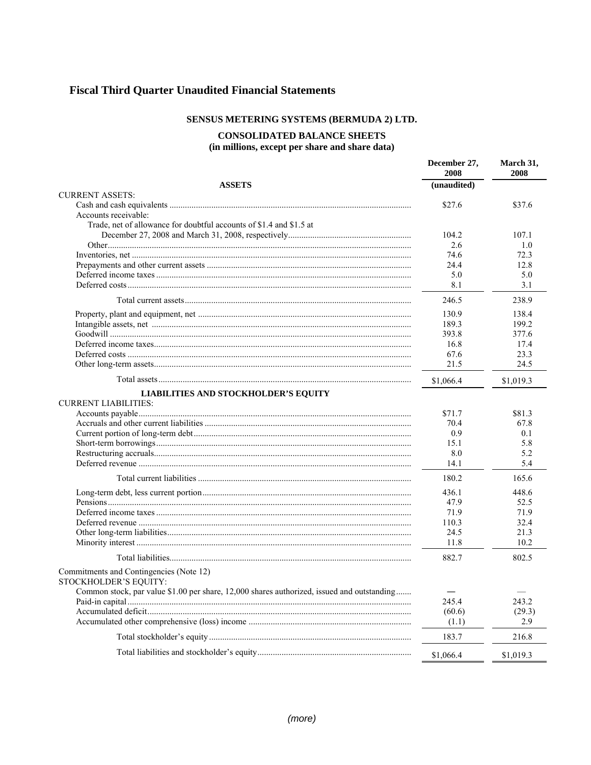# **Fiscal Third Quarter Unaudited Financial Statements**

#### SENSUS METERING SYSTEMS (BERMUDA 2) LTD.

# **CONSOLIDATED BALANCE SHEETS**

(in millions, except per share and share data)

|                                                                                            | December 27,<br>2008 | March 31,<br>2008 |
|--------------------------------------------------------------------------------------------|----------------------|-------------------|
| <b>ASSETS</b>                                                                              | (unaudited)          |                   |
| <b>CURRENT ASSETS:</b>                                                                     |                      |                   |
|                                                                                            | \$27.6               | \$37.6            |
| Accounts receivable:                                                                       |                      |                   |
| Trade, net of allowance for doubtful accounts of \$1.4 and \$1.5 at                        |                      |                   |
|                                                                                            | 104.2                | 107.1             |
|                                                                                            | 2.6                  | 1.0               |
|                                                                                            | 74.6                 | 72.3              |
|                                                                                            | 24.4                 | 12.8              |
|                                                                                            | 5.0                  | 5.0               |
|                                                                                            | 8.1                  | 3.1               |
|                                                                                            | 246.5                | 238.9             |
|                                                                                            | 130.9                | 138.4             |
|                                                                                            | 189.3                | 199.2             |
|                                                                                            | 393.8                | 377.6             |
|                                                                                            | 16.8                 | 17.4              |
|                                                                                            | 67.6                 | 23.3              |
|                                                                                            | 21.5                 | 24.5              |
|                                                                                            | \$1,066.4            | \$1,019.3         |
| <b>LIABILITIES AND STOCKHOLDER'S EQUITY</b>                                                |                      |                   |
| <b>CURRENT LIABILITIES:</b>                                                                |                      |                   |
|                                                                                            | \$71.7               | \$81.3            |
|                                                                                            | 70.4                 | 67.8              |
|                                                                                            | 0.9                  | 0.1               |
|                                                                                            | 15.1                 | 5.8               |
|                                                                                            | 8.0                  | 5.2               |
|                                                                                            | 14.1                 | 5.4               |
|                                                                                            | 180.2                | 165.6             |
|                                                                                            | 436.1                | 448.6             |
|                                                                                            | 47.9                 | 52.5              |
|                                                                                            | 71.9                 | 71.9              |
|                                                                                            | 110.3                | 32.4              |
|                                                                                            | 24.5                 | 21.3              |
|                                                                                            | 11.8                 | 10.2              |
|                                                                                            | 882.7                | 802.5             |
| Commitments and Contingencies (Note 12)                                                    |                      |                   |
| STOCKHOLDER'S EQUITY:                                                                      |                      |                   |
| Common stock, par value \$1.00 per share, 12,000 shares authorized, issued and outstanding |                      | $\hspace{0.05cm}$ |
|                                                                                            | 245.4                | 243.2             |
|                                                                                            | (60.6)               | (29.3)            |
|                                                                                            | (1.1)                | 2.9               |
|                                                                                            | 183.7                | 216.8             |
|                                                                                            | \$1,066.4            | \$1,019.3         |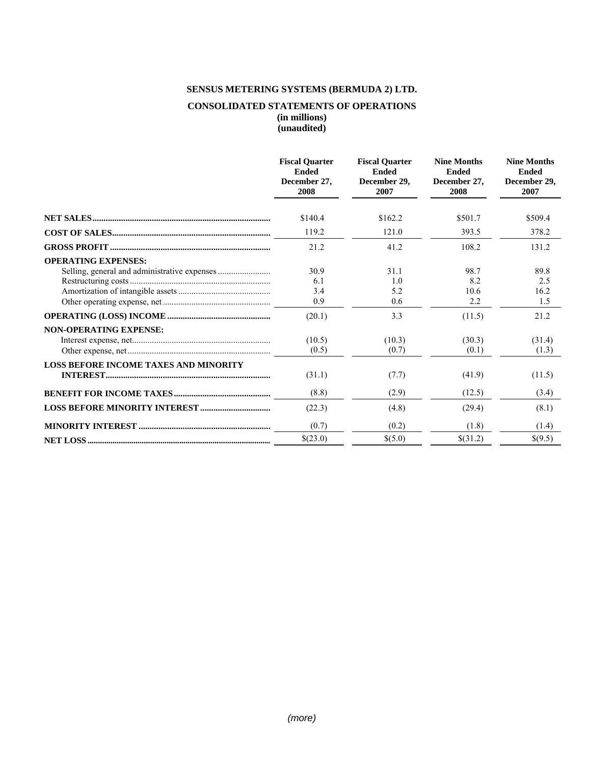# **SENSUS METERING SYSTEMS (BERMUDA 2) LTD.**

#### **CONSOLIDATED STATEMENTS OF OPERATIONS (in millions) (unaudited)**

|                                              | <b>Fiscal Quarter</b><br><b>Ended</b><br>December 27.<br>2008 | <b>Fiscal Quarter</b><br>Ended<br>December 29.<br>2007 | <b>Nine Months</b><br><b>Ended</b><br>December 27,<br>2008 | <b>Nine Months</b><br><b>Ended</b><br>December 29,<br>2007 |
|----------------------------------------------|---------------------------------------------------------------|--------------------------------------------------------|------------------------------------------------------------|------------------------------------------------------------|
|                                              | \$140.4                                                       | \$162.2                                                | \$501.7                                                    | \$509.4                                                    |
|                                              |                                                               |                                                        |                                                            |                                                            |
|                                              | 119.2                                                         | 121.0                                                  | 393.5                                                      | 378.2                                                      |
|                                              | 21.2                                                          | 41.2                                                   | 108.2                                                      | 131.2                                                      |
| <b>OPERATING EXPENSES:</b>                   |                                                               |                                                        |                                                            |                                                            |
|                                              | 30.9                                                          | 31.1                                                   | 98.7                                                       | 89.8                                                       |
|                                              | 6.1                                                           | 1 <sub>0</sub>                                         | 8.2                                                        | 2.5                                                        |
|                                              | 3.4                                                           | 5.2                                                    | 10.6                                                       | 16.2                                                       |
|                                              | 0.9                                                           | 0.6                                                    | 2.2                                                        | 1.5                                                        |
|                                              | (20.1)                                                        | 3.3                                                    | (11.5)                                                     | 21.2                                                       |
| <b>NON-OPERATING EXPENSE:</b>                |                                                               |                                                        |                                                            |                                                            |
|                                              | (10.5)                                                        | (10.3)                                                 | (30.3)                                                     | (31.4)                                                     |
|                                              | (0.5)                                                         | (0.7)                                                  | (0.1)                                                      | (1.3)                                                      |
| <b>LOSS BEFORE INCOME TAXES AND MINORITY</b> |                                                               |                                                        |                                                            |                                                            |
|                                              | (31.1)                                                        | (7.7)                                                  | (41.9)                                                     | (11.5)                                                     |
|                                              | (8.8)                                                         | (2.9)                                                  | (12.5)                                                     | (3.4)                                                      |
|                                              | (22.3)                                                        | (4.8)                                                  | (29.4)                                                     | (8.1)                                                      |
|                                              | (0.7)                                                         | (0.2)                                                  | (1.8)                                                      | (1.4)                                                      |
|                                              | \$(23.0)                                                      | \$(5.0)                                                | \$(31.2)                                                   | \$(9.5)                                                    |